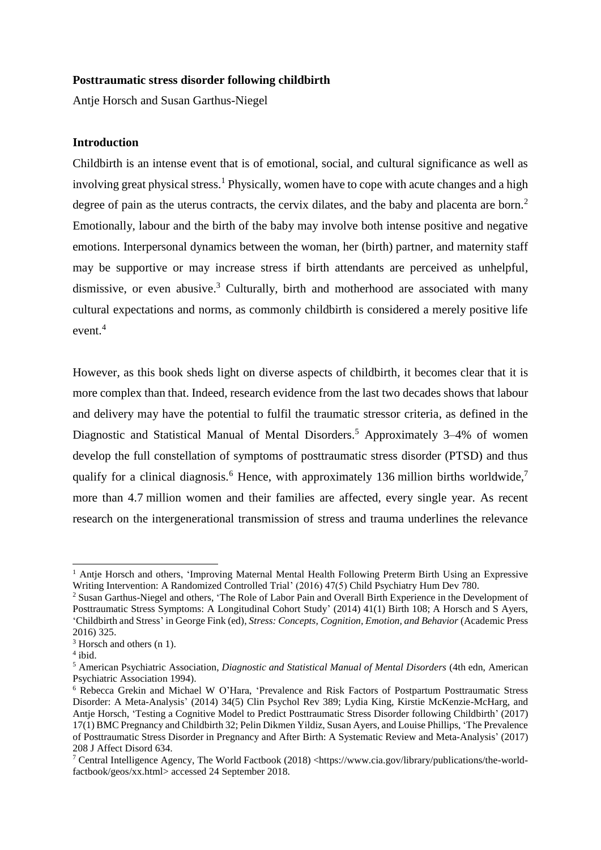#### **Posttraumatic stress disorder following childbirth**

Antje Horsch and Susan Garthus-Niegel

# **Introduction**

<span id="page-0-3"></span><span id="page-0-0"></span>Childbirth is an intense event that is of emotional, social, and cultural significance as well as involving great physical stress.<sup>1</sup> Physically, women have to cope with acute changes and a high degree of pain as the uterus contracts, the cervix dilates, and the baby and placenta are born.<sup>2</sup> Emotionally, labour and the birth of the baby may involve both intense positive and negative emotions. Interpersonal dynamics between the woman, her (birth) partner, and maternity staff may be supportive or may increase stress if birth attendants are perceived as unhelpful, dismissive, or even abusive. <sup>3</sup> Culturally, birth and motherhood are associated with many cultural expectations and norms, as commonly childbirth is considered a merely positive life event.<sup>4</sup>

<span id="page-0-2"></span>However, as this book sheds light on diverse aspects of childbirth, it becomes clear that it is more complex than that. Indeed, research evidence from the last two decades shows that labour and delivery may have the potential to fulfil the traumatic stressor criteria, as defined in the Diagnostic and Statistical Manual of Mental Disorders.<sup>5</sup> Approximately 3–4% of women develop the full constellation of symptoms of posttraumatic stress disorder (PTSD) and thus qualify for a clinical diagnosis.<sup>6</sup> Hence, with approximately 136 million births worldwide,<sup>7</sup> more than 4.7 million women and their families are affected, every single year. As recent research on the intergenerational transmission of stress and trauma underlines the relevance

<span id="page-0-1"></span><sup>&</sup>lt;sup>1</sup> Antje Horsch and others, 'Improving Maternal Mental Health Following Preterm Birth Using an Expressive Writing Intervention: A Randomized Controlled Trial' (2016) 47(5) Child Psychiatry Hum Dev 780.

<sup>2</sup> Susan Garthus-Niegel and others, 'The Role of Labor Pain and Overall Birth Experience in the Development of Posttraumatic Stress Symptoms: A Longitudinal Cohort Study' (2014) 41(1) Birth 108; A Horsch and S Ayers, 'Childbirth and Stress' in George Fink (ed), *Stress: Concepts, Cognition, Emotion, and Behavior* (Academic Press 2016) 325.

<sup>&</sup>lt;sup>3</sup> Horsch and others (n [1\)](#page-0-0).

<sup>4</sup> ibid.

<sup>5</sup> American Psychiatric Association, *Diagnostic and Statistical Manual of Mental Disorders* (4th edn, American Psychiatric Association 1994).

<sup>6</sup> Rebecca Grekin and Michael W O'Hara, 'Prevalence and Risk Factors of Postpartum Posttraumatic Stress Disorder: A Meta-Analysis' (2014) 34(5) Clin Psychol Rev 389; Lydia King, Kirstie McKenzie-McHarg, and Antje Horsch, 'Testing a Cognitive Model to Predict Posttraumatic Stress Disorder following Childbirth' (2017) 17(1) BMC Pregnancy and Childbirth 32; Pelin Dikmen Yildiz, Susan Ayers, and Louise Phillips, 'The Prevalence of Posttraumatic Stress Disorder in Pregnancy and After Birth: A Systematic Review and Meta-Analysis' (2017) 208 J Affect Disord 634.

<sup>7</sup> Central Intelligence Agency, The World Factbook (2018) <https://www.cia.gov/library/publications/the-worldfactbook/geos/xx.html> accessed 24 September 2018.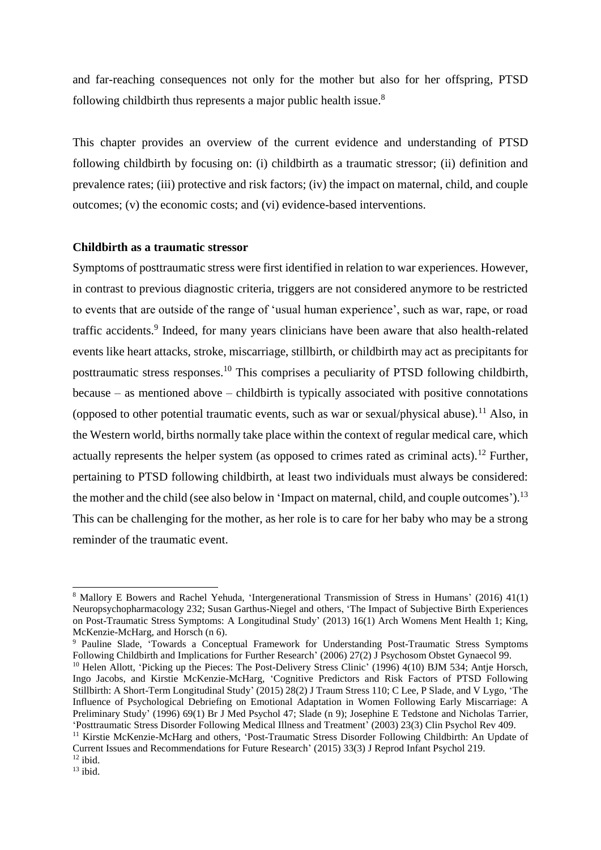<span id="page-1-2"></span>and far-reaching consequences not only for the mother but also for her offspring, PTSD following childbirth thus represents a major public health issue.<sup>8</sup>

This chapter provides an overview of the current evidence and understanding of PTSD following childbirth by focusing on: (i) childbirth as a traumatic stressor; (ii) definition and prevalence rates; (iii) protective and risk factors; (iv) the impact on maternal, child, and couple outcomes; (v) the economic costs; and (vi) evidence-based interventions.

#### **Childbirth as a traumatic stressor**

<span id="page-1-1"></span><span id="page-1-0"></span>Symptoms of posttraumatic stress were first identified in relation to war experiences. However, in contrast to previous diagnostic criteria, triggers are not considered anymore to be restricted to events that are outside of the range of 'usual human experience', such as war, rape, or road traffic accidents.<sup>9</sup> Indeed, for many years clinicians have been aware that also health-related events like heart attacks, stroke, miscarriage, stillbirth, or childbirth may act as precipitants for posttraumatic stress responses.<sup>10</sup> This comprises a peculiarity of PTSD following childbirth, because – as mentioned above – childbirth is typically associated with positive connotations (opposed to other potential traumatic events, such as war or sexual/physical abuse).<sup>11</sup> Also, in the Western world, births normally take place within the context of regular medical care, which actually represents the helper system (as opposed to crimes rated as criminal acts).<sup>12</sup> Further, pertaining to PTSD following childbirth, at least two individuals must always be considered: the mother and the child (see also below in 'Impact on maternal, child, and couple outcomes').<sup>13</sup> This can be challenging for the mother, as her role is to care for her baby who may be a strong reminder of the traumatic event.

<sup>8</sup> Mallory E Bowers and Rachel Yehuda, 'Intergenerational Transmission of Stress in Humans' (2016) 41(1) Neuropsychopharmacology 232; Susan Garthus-Niegel and others, 'The Impact of Subjective Birth Experiences on Post-Traumatic Stress Symptoms: A Longitudinal Study' (2013) 16(1) Arch Womens Ment Health 1; King, McKenzie-McHarg, and Horsch (n [6\)](#page-0-1).

<sup>9</sup> Pauline Slade, 'Towards a Conceptual Framework for Understanding Post-Traumatic Stress Symptoms Following Childbirth and Implications for Further Research' (2006) 27(2) J Psychosom Obstet Gynaecol 99.

<sup>&</sup>lt;sup>10</sup> Helen Allott, 'Picking up the Pieces: The Post-Delivery Stress Clinic' (1996) 4(10) BJM 534; Antje Horsch, Ingo Jacobs, and Kirstie McKenzie-McHarg, 'Cognitive Predictors and Risk Factors of PTSD Following Stillbirth: A Short-Term Longitudinal Study' (2015) 28(2) J Traum Stress 110; C Lee, P Slade, and V Lygo, 'The Influence of Psychological Debriefing on Emotional Adaptation in Women Following Early Miscarriage: A Preliminary Study' (1996) 69(1) Br J Med Psychol 47; Slade (n [9\)](#page-1-0); Josephine E Tedstone and Nicholas Tarrier, 'Posttraumatic Stress Disorder Following Medical Illness and Treatment' (2003) 23(3) Clin Psychol Rev 409.

<sup>11</sup> Kirstie McKenzie-McHarg and others, 'Post-Traumatic Stress Disorder Following Childbirth: An Update of Current Issues and Recommendations for Future Research' (2015) 33(3) J Reprod Infant Psychol 219.  $12$  ibid.

 $13$  ibid.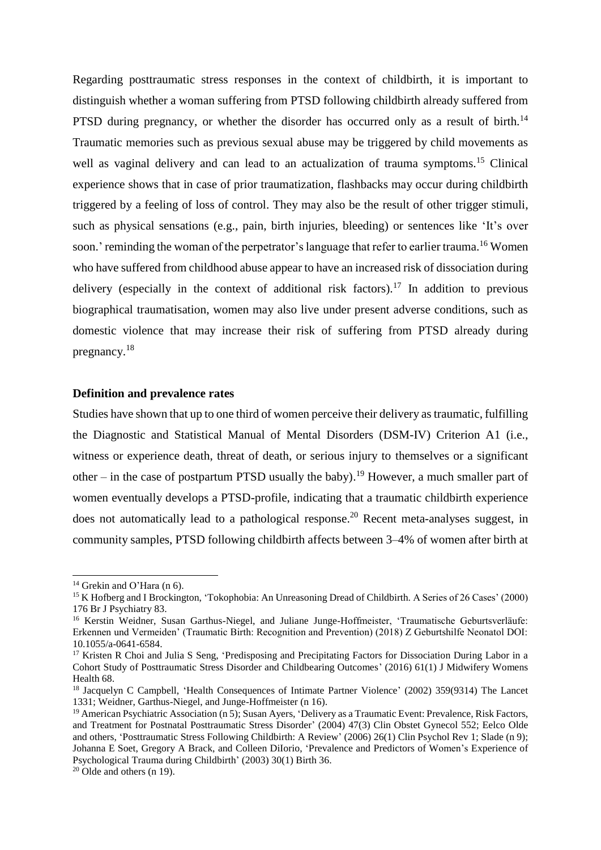<span id="page-2-2"></span>Regarding posttraumatic stress responses in the context of childbirth, it is important to distinguish whether a woman suffering from PTSD following childbirth already suffered from PTSD during pregnancy, or whether the disorder has occurred only as a result of birth.<sup>14</sup> Traumatic memories such as previous sexual abuse may be triggered by child movements as well as vaginal delivery and can lead to an actualization of trauma symptoms.<sup>15</sup> Clinical experience shows that in case of prior traumatization, flashbacks may occur during childbirth triggered by a feeling of loss of control. They may also be the result of other trigger stimuli, such as physical sensations (e.g., pain, birth injuries, bleeding) or sentences like 'It's over soon.' reminding the woman of the perpetrator's language that refer to earlier trauma.<sup>16</sup> Women who have suffered from childhood abuse appear to have an increased risk of dissociation during delivery (especially in the context of additional risk factors).<sup>17</sup> In addition to previous biographical traumatisation, women may also live under present adverse conditions, such as domestic violence that may increase their risk of suffering from PTSD already during pregnancy.<sup>18</sup>

# <span id="page-2-0"></span>**Definition and prevalence rates**

<span id="page-2-1"></span>Studies have shown that up to one third of women perceive their delivery as traumatic, fulfilling the Diagnostic and Statistical Manual of Mental Disorders (DSM-IV) Criterion A1 (i.e., witness or experience death, threat of death, or serious injury to themselves or a significant other – in the case of postpartum PTSD usually the baby).<sup>19</sup> However, a much smaller part of women eventually develops a PTSD-profile, indicating that a traumatic childbirth experience does not automatically lead to a pathological response.<sup>20</sup> Recent meta-analyses suggest, in community samples, PTSD following childbirth affects between 3–4% of women after birth at

 $14$  Grekin and O'Hara (n [6\)](#page-0-1).

<sup>15</sup> K Hofberg and I Brockington, 'Tokophobia: An Unreasoning Dread of Childbirth. A Series of 26 Cases' (2000) 176 Br J Psychiatry 83.

<sup>16</sup> Kerstin Weidner, Susan Garthus-Niegel, and Juliane Junge-Hoffmeister, 'Traumatische Geburtsverläufe: Erkennen und Vermeiden' (Traumatic Birth: Recognition and Prevention) (2018) Z Geburtshilfe Neonatol DOI: 10.1055/a-0641-6584.

<sup>&</sup>lt;sup>17</sup> Kristen R Choi and Julia S Seng, 'Predisposing and Precipitating Factors for Dissociation During Labor in a Cohort Study of Posttraumatic Stress Disorder and Childbearing Outcomes' (2016) 61(1) J Midwifery Womens Health 68.

<sup>&</sup>lt;sup>18</sup> Jacquelyn C Campbell, 'Health Consequences of Intimate Partner Violence' (2002) 359(9314) The Lancet 1331; Weidner, Garthus-Niegel, and Junge-Hoffmeister ([n 16\)](#page-2-0).

<sup>&</sup>lt;sup>19</sup> American Psychiatric Association ([n 5\)](#page-0-2); Susan Ayers, 'Delivery as a Traumatic Event: Prevalence, Risk Factors, and Treatment for Postnatal Posttraumatic Stress Disorder' (2004) 47(3) Clin Obstet Gynecol 552; Eelco Olde and others, 'Posttraumatic Stress Following Childbirth: A Review' (2006) 26(1) Clin Psychol Rev 1; Slade (n [9\)](#page-1-0); Johanna E Soet, Gregory A Brack, and Colleen DiIorio, 'Prevalence and Predictors of Women's Experience of Psychological Trauma during Childbirth' (2003) 30(1) Birth 36.

 $20$  Olde and others (n [19\)](#page-2-1).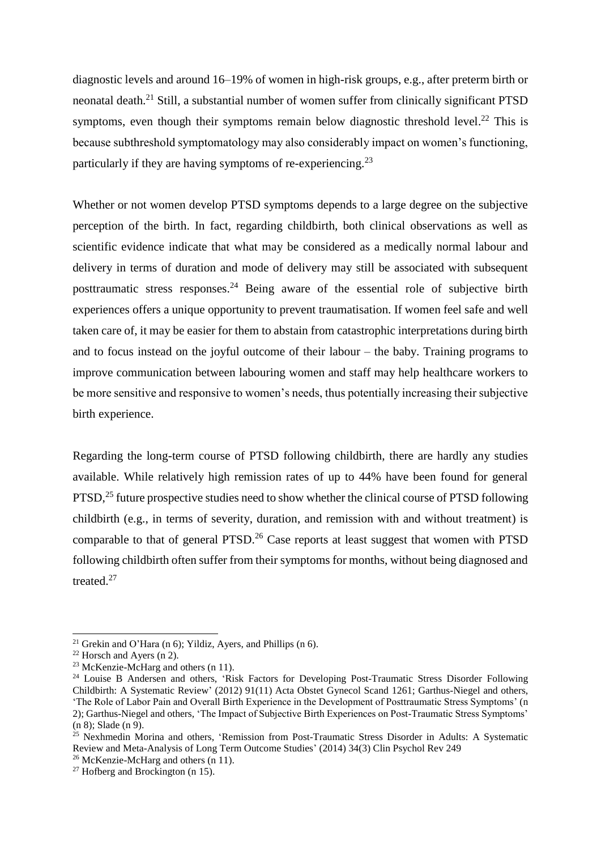diagnostic levels and around 16–19% of women in high-risk groups, e.g., after preterm birth or neonatal death.<sup>21</sup> Still, a substantial number of women suffer from clinically significant PTSD symptoms, even though their symptoms remain below diagnostic threshold level. $^{22}$  This is because subthreshold symptomatology may also considerably impact on women's functioning, particularly if they are having symptoms of re-experiencing.<sup>23</sup>

Whether or not women develop PTSD symptoms depends to a large degree on the subjective perception of the birth. In fact, regarding childbirth, both clinical observations as well as scientific evidence indicate that what may be considered as a medically normal labour and delivery in terms of duration and mode of delivery may still be associated with subsequent posttraumatic stress responses.<sup>24</sup> Being aware of the essential role of subjective birth experiences offers a unique opportunity to prevent traumatisation. If women feel safe and well taken care of, it may be easier for them to abstain from catastrophic interpretations during birth and to focus instead on the joyful outcome of their labour – the baby. Training programs to improve communication between labouring women and staff may help healthcare workers to be more sensitive and responsive to women's needs, thus potentially increasing their subjective birth experience.

Regarding the long-term course of PTSD following childbirth, there are hardly any studies available. While relatively high remission rates of up to 44% have been found for general  $PTSD<sup>25</sup>$  future prospective studies need to show whether the clinical course of PTSD following childbirth (e.g., in terms of severity, duration, and remission with and without treatment) is comparable to that of general  $PTSD<sup>26</sup>$  Case reports at least suggest that women with  $PTSD$ following childbirth often suffer from their symptoms for months, without being diagnosed and treated.<sup>27</sup>

<sup>&</sup>lt;sup>21</sup> Grekin and O'Hara (n [6\)](#page-0-1); Yildiz, Ayers, and Phillips (n 6).

 $22$  Horsch and Ayers (n [2\)](#page-0-3).

 $23$  McKenzie-McHarg and others (n [11\)](#page-1-1).

<sup>&</sup>lt;sup>24</sup> Louise B Andersen and others, 'Risk Factors for Developing Post-Traumatic Stress Disorder Following Childbirth: A Systematic Review' (2012) 91(11) Acta Obstet Gynecol Scand 1261; Garthus-Niegel and others, 'The Role of Labor Pain and Overall Birth Experience in the Development of Posttraumatic Stress Symptoms' (n [2\)](#page-0-3); Garthus-Niegel and others, 'The Impact of Subjective Birth Experiences on Post-Traumatic Stress Symptoms' (n [8\)](#page-1-2); Slade (n [9\)](#page-1-0).

<sup>&</sup>lt;sup>25</sup> Nexhmedin Morina and others, 'Remission from Post-Traumatic Stress Disorder in Adults: A Systematic Review and Meta-Analysis of Long Term Outcome Studies' (2014) 34(3) Clin Psychol Rev 249

<sup>26</sup> McKenzie-McHarg and others (n [11\)](#page-1-1).

 $27$  Hofberg and Brockington (n [15\)](#page-2-2).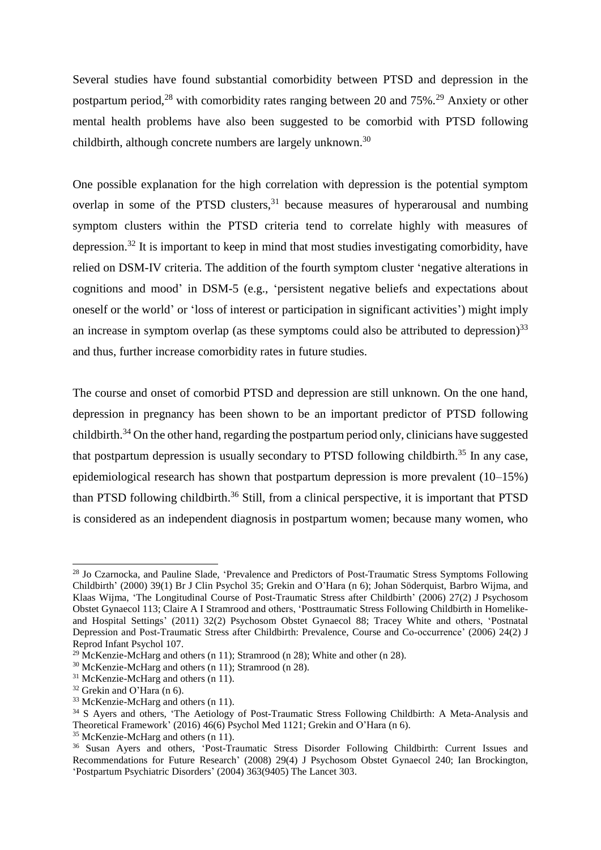<span id="page-4-0"></span>Several studies have found substantial comorbidity between PTSD and depression in the postpartum period,<sup>28</sup> with comorbidity rates ranging between 20 and 75%.<sup>29</sup> Anxiety or other mental health problems have also been suggested to be comorbid with PTSD following childbirth, although concrete numbers are largely unknown.<sup>30</sup>

One possible explanation for the high correlation with depression is the potential symptom overlap in some of the PTSD clusters,  $31$  because measures of hyperarousal and numbing symptom clusters within the PTSD criteria tend to correlate highly with measures of depression.<sup>32</sup> It is important to keep in mind that most studies investigating comorbidity, have relied on DSM-IV criteria. The addition of the fourth symptom cluster 'negative alterations in cognitions and mood' in DSM-5 (e.g., 'persistent negative beliefs and expectations about oneself or the world' or 'loss of interest or participation in significant activities') might imply an increase in symptom overlap (as these symptoms could also be attributed to depression) $33$ and thus, further increase comorbidity rates in future studies.

<span id="page-4-1"></span>The course and onset of comorbid PTSD and depression are still unknown. On the one hand, depression in pregnancy has been shown to be an important predictor of PTSD following childbirth.<sup>34</sup> On the other hand, regarding the postpartum period only, clinicians have suggested that postpartum depression is usually secondary to PTSD following childbirth.<sup>35</sup> In any case, epidemiological research has shown that postpartum depression is more prevalent (10–15%) than PTSD following childbirth.<sup>36</sup> Still, from a clinical perspective, it is important that PTSD is considered as an independent diagnosis in postpartum women; because many women, who

<sup>28</sup> Jo Czarnocka, and Pauline Slade, 'Prevalence and Predictors of Post-Traumatic Stress Symptoms Following Childbirth' (2000) 39(1) Br J Clin Psychol 35; Grekin and O'Hara (n [6\)](#page-0-1); Johan Söderquist, Barbro Wijma, and Klaas Wijma, 'The Longitudinal Course of Post-Traumatic Stress after Childbirth' (2006) 27(2) J Psychosom Obstet Gynaecol 113; Claire A I Stramrood and others, 'Posttraumatic Stress Following Childbirth in Homelikeand Hospital Settings' (2011) 32(2) Psychosom Obstet Gynaecol 88; Tracey White and others, 'Postnatal Depression and Post-Traumatic Stress after Childbirth: Prevalence, Course and Co-occurrence' (2006) 24(2) J Reprod Infant Psychol 107.

<sup>&</sup>lt;sup>29</sup> McKenzie-McHarg and others (n [11\)](#page-1-1); Stramrood ([n 28\)](#page-4-0); White and other (n [28\)](#page-4-0).

<sup>30</sup> McKenzie-McHarg and others (n [11\)](#page-1-1); Stramrood ([n 28\)](#page-4-0).

<sup>&</sup>lt;sup>31</sup> McKenzie-McHarg and others (n [11\)](#page-1-1).

<sup>32</sup> Grekin and O'Hara (n [6\)](#page-0-1).

<sup>33</sup> McKenzie-McHarg and others (n [11\)](#page-1-1).

<sup>&</sup>lt;sup>34</sup> S Ayers and others, 'The Aetiology of Post-Traumatic Stress Following Childbirth: A Meta-Analysis and Theoretical Framework' (2016) 46(6) Psychol Med 1121; Grekin and O'Hara (n [6\)](#page-0-1).

<sup>&</sup>lt;sup>35</sup> McKenzie-McHarg and others (n [11\)](#page-1-1).

<sup>&</sup>lt;sup>36</sup> Susan Ayers and others, 'Post-Traumatic Stress Disorder Following Childbirth: Current Issues and Recommendations for Future Research' (2008) 29(4) J Psychosom Obstet Gynaecol 240; Ian Brockington, 'Postpartum Psychiatric Disorders' (2004) 363(9405) The Lancet 303.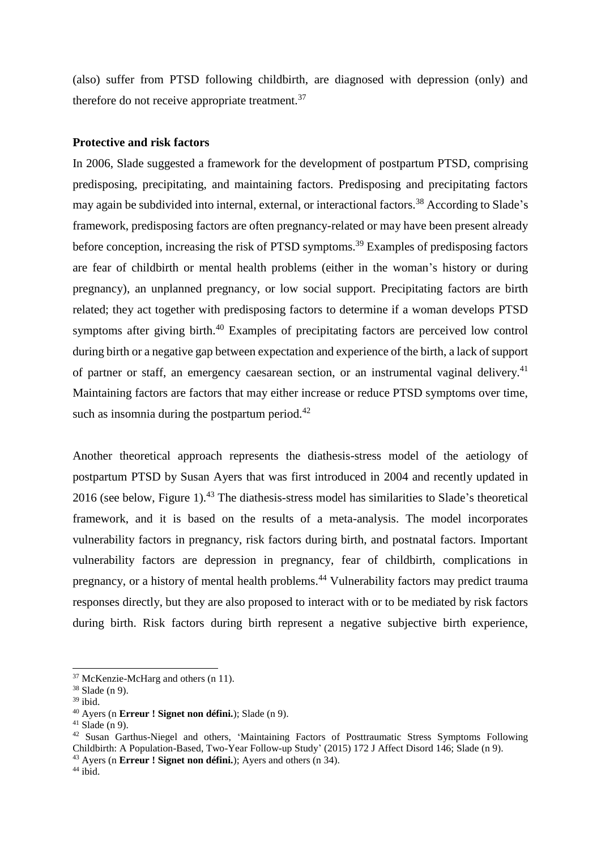(also) suffer from PTSD following childbirth, are diagnosed with depression (only) and therefore do not receive appropriate treatment.<sup>37</sup>

#### **Protective and risk factors**

In 2006, Slade suggested a framework for the development of postpartum PTSD, comprising predisposing, precipitating, and maintaining factors. Predisposing and precipitating factors may again be subdivided into internal, external, or interactional factors.<sup>38</sup> According to Slade's framework, predisposing factors are often pregnancy-related or may have been present already before conception, increasing the risk of PTSD symptoms.<sup>39</sup> Examples of predisposing factors are fear of childbirth or mental health problems (either in the woman's history or during pregnancy), an unplanned pregnancy, or low social support. Precipitating factors are birth related; they act together with predisposing factors to determine if a woman develops PTSD symptoms after giving birth.<sup>40</sup> Examples of precipitating factors are perceived low control during birth or a negative gap between expectation and experience of the birth, a lack of support of partner or staff, an emergency caesarean section, or an instrumental vaginal delivery.<sup>41</sup> Maintaining factors are factors that may either increase or reduce PTSD symptoms over time, such as insomnia during the postpartum period.<sup>42</sup>

Another theoretical approach represents the diathesis-stress model of the aetiology of postpartum PTSD by Susan Ayers that was first introduced in 2004 and recently updated in 2016 (see below, Figure 1).<sup>43</sup> The diathesis-stress model has similarities to Slade's theoretical framework, and it is based on the results of a meta-analysis. The model incorporates vulnerability factors in pregnancy, risk factors during birth, and postnatal factors. Important vulnerability factors are depression in pregnancy, fear of childbirth, complications in pregnancy, or a history of mental health problems.<sup>44</sup> Vulnerability factors may predict trauma responses directly, but they are also proposed to interact with or to be mediated by risk factors during birth. Risk factors during birth represent a negative subjective birth experience,

<sup>37</sup> McKenzie-McHarg and others (n [11\)](#page-1-1).

<sup>38</sup> Slade ([n 9\)](#page-1-0).

 $^{\rm 39}$ ibid.

<sup>40</sup> Ayers (n **Erreur ! Signet non défini.**); Slade (n [9\)](#page-1-0).

 $41$  Slade ([n 9\)](#page-1-0).

<sup>&</sup>lt;sup>42</sup> Susan Garthus-Niegel and others, 'Maintaining Factors of Posttraumatic Stress Symptoms Following Childbirth: A Population-Based, Two-Year Follow-up Study' (2015) 172 J Affect Disord 146; Slade (n [9\)](#page-1-0).

<sup>43</sup> Ayers (n **Erreur ! Signet non défini.**); Ayers and others (n [34\)](#page-4-1).

 $44$  ibid.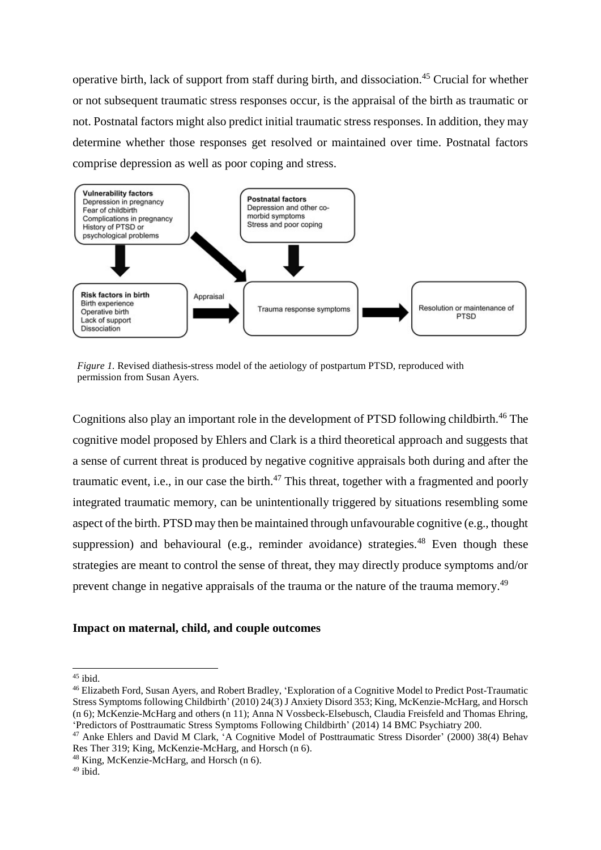operative birth, lack of support from staff during birth, and dissociation.<sup>45</sup> Crucial for whether or not subsequent traumatic stress responses occur, is the appraisal of the birth as traumatic or not. Postnatal factors might also predict initial traumatic stress responses. In addition, they may determine whether those responses get resolved or maintained over time. Postnatal factors comprise depression as well as poor coping and stress.



*Figure 1.* Revised diathesis-stress model of the aetiology of postpartum PTSD, reproduced with permission from Susan Ayers.

Cognitions also play an important role in the development of PTSD following childbirth.<sup>46</sup> The cognitive model proposed by Ehlers and Clark is a third theoretical approach and suggests that a sense of current threat is produced by negative cognitive appraisals both during and after the traumatic event, i.e., in our case the birth.<sup>47</sup> This threat, together with a fragmented and poorly integrated traumatic memory, can be unintentionally triggered by situations resembling some aspect of the birth. PTSD may then be maintained through unfavourable cognitive (e.g., thought suppression) and behavioural (e.g., reminder avoidance) strategies. $48$  Even though these strategies are meant to control the sense of threat, they may directly produce symptoms and/or prevent change in negative appraisals of the trauma or the nature of the trauma memory.<sup>49</sup>

### **Impact on maternal, child, and couple outcomes**

<sup>-</sup> $45$  ibid.

<sup>46</sup> Elizabeth Ford, Susan Ayers, and Robert Bradley, 'Exploration of a Cognitive Model to Predict Post-Traumatic Stress Symptoms following Childbirth' (2010) 24(3) J Anxiety Disord 353; King, McKenzie-McHarg, and Horsch ([n 6\)](#page-0-1); McKenzie-McHarg and others (n [11\)](#page-1-1); Anna N Vossbeck-Elsebusch, Claudia Freisfeld and Thomas Ehring, 'Predictors of Posttraumatic Stress Symptoms Following Childbirth' (2014) 14 BMC Psychiatry 200.

<sup>&</sup>lt;sup>47</sup> Anke Ehlers and David M Clark, 'A Cognitive Model of Posttraumatic Stress Disorder' (2000) 38(4) Behav Res Ther 319; King, McKenzie-McHarg, and Horsch ([n 6\)](#page-0-1).

<sup>48</sup> King, McKenzie-McHarg, and Horsch (n [6\)](#page-0-1).

 $49$  ibid.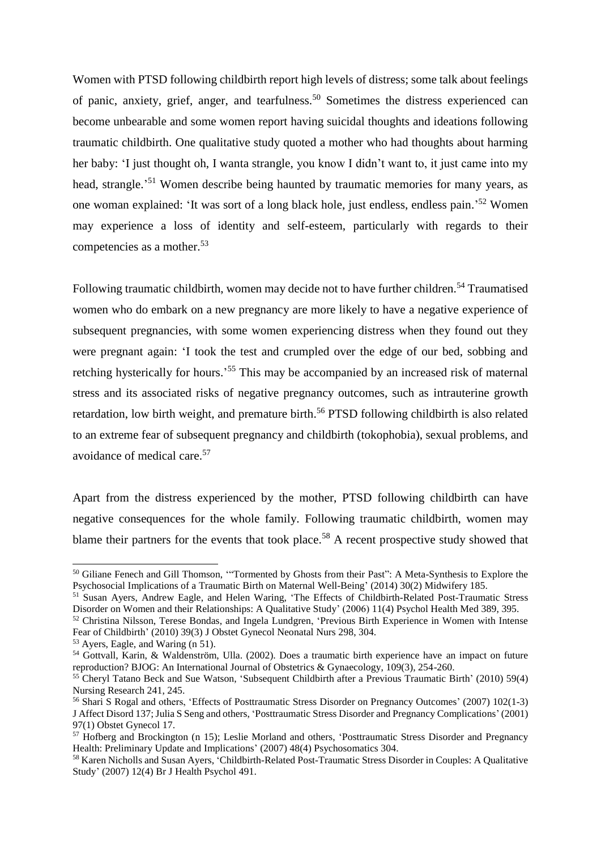<span id="page-7-1"></span><span id="page-7-0"></span>Women with PTSD following childbirth report high levels of distress; some talk about feelings of panic, anxiety, grief, anger, and tearfulness.<sup>50</sup> Sometimes the distress experienced can become unbearable and some women report having suicidal thoughts and ideations following traumatic childbirth. One qualitative study quoted a mother who had thoughts about harming her baby: 'I just thought oh, I wanta strangle, you know I didn't want to, it just came into my head, strangle.<sup>51</sup> Women describe being haunted by traumatic memories for many years, as one woman explained: 'It was sort of a long black hole, just endless, endless pain.'<sup>52</sup> Women may experience a loss of identity and self-esteem, particularly with regards to their competencies as a mother. 53

Following traumatic childbirth, women may decide not to have further children.<sup>54</sup> Traumatised women who do embark on a new pregnancy are more likely to have a negative experience of subsequent pregnancies, with some women experiencing distress when they found out they were pregnant again: 'I took the test and crumpled over the edge of our bed, sobbing and retching hysterically for hours.'<sup>55</sup> This may be accompanied by an increased risk of maternal stress and its associated risks of negative pregnancy outcomes, such as intrauterine growth retardation, low birth weight, and premature birth.<sup>56</sup> PTSD following childbirth is also related to an extreme fear of subsequent pregnancy and childbirth (tokophobia), sexual problems, and avoidance of medical care. 57

Apart from the distress experienced by the mother, PTSD following childbirth can have negative consequences for the whole family. Following traumatic childbirth, women may blame their partners for the events that took place.<sup>58</sup> A recent prospective study showed that

<sup>50</sup> Giliane Fenech and Gill Thomson, '"Tormented by Ghosts from their Past": A Meta-Synthesis to Explore the Psychosocial Implications of a Traumatic Birth on Maternal Well-Being' (2014) 30(2) Midwifery 185.

<sup>51</sup> Susan Ayers, Andrew Eagle, and Helen Waring, 'The Effects of Childbirth-Related Post-Traumatic Stress Disorder on Women and their Relationships: A Qualitative Study' (2006) 11(4) Psychol Health Med 389, 395.

<sup>52</sup> Christina Nilsson, Terese Bondas, and Ingela Lundgren, 'Previous Birth Experience in Women with Intense Fear of Childbirth' (2010) 39(3) J Obstet Gynecol Neonatal Nurs 298, 304.

<sup>53</sup> Ayers, Eagle, and Waring (n [51\)](#page-7-0).

<sup>54</sup> Gottvall, Karin, & Waldenström, Ulla. (2002). Does a traumatic birth experience have an impact on future reproduction? BJOG: An International Journal of Obstetrics & Gynaecology, 109(3), 254-260.

<sup>&</sup>lt;sup>55</sup> Cheryl Tatano Beck and Sue Watson, 'Subsequent Childbirth after a Previous Traumatic Birth' (2010) 59(4) Nursing Research 241, 245.

<sup>56</sup> Shari S Rogal and others, 'Effects of Posttraumatic Stress Disorder on Pregnancy Outcomes' (2007) 102(1-3) J Affect Disord 137; Julia S Seng and others, 'Posttraumatic Stress Disorder and Pregnancy Complications' (2001) 97(1) Obstet Gynecol 17.

<sup>57</sup> Hofberg and Brockington (n [15\)](#page-2-2); Leslie Morland and others, 'Posttraumatic Stress Disorder and Pregnancy Health: Preliminary Update and Implications' (2007) 48(4) Psychosomatics 304.

<sup>58</sup> Karen Nicholls and Susan Ayers, 'Childbirth-Related Post-Traumatic Stress Disorder in Couples: A Qualitative Study' (2007) 12(4) Br J Health Psychol 491.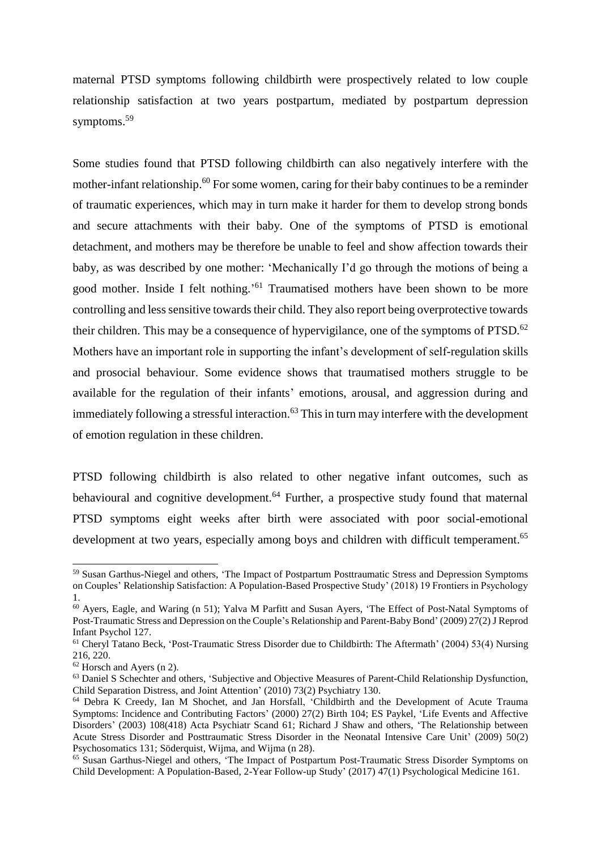maternal PTSD symptoms following childbirth were prospectively related to low couple relationship satisfaction at two years postpartum, mediated by postpartum depression symptoms. 59

Some studies found that PTSD following childbirth can also negatively interfere with the mother-infant relationship.<sup>60</sup> For some women, caring for their baby continues to be a reminder of traumatic experiences, which may in turn make it harder for them to develop strong bonds and secure attachments with their baby. One of the symptoms of PTSD is emotional detachment, and mothers may be therefore be unable to feel and show affection towards their baby, as was described by one mother: 'Mechanically I'd go through the motions of being a good mother. Inside I felt nothing.' <sup>61</sup> Traumatised mothers have been shown to be more controlling and less sensitive towards their child. They also report being overprotective towards their children. This may be a consequence of hypervigilance, one of the symptoms of PTSD.<sup>62</sup> Mothers have an important role in supporting the infant's development of self-regulation skills and prosocial behaviour. Some evidence shows that traumatised mothers struggle to be available for the regulation of their infants' emotions, arousal, and aggression during and immediately following a stressful interaction.<sup>63</sup> This in turn may interfere with the development of emotion regulation in these children.

<span id="page-8-0"></span>PTSD following childbirth is also related to other negative infant outcomes, such as behavioural and cognitive development.<sup>64</sup> Further, a prospective study found that maternal PTSD symptoms eight weeks after birth were associated with poor social-emotional development at two years, especially among boys and children with difficult temperament.<sup>65</sup>

<sup>59</sup> Susan Garthus-Niegel and others, 'The Impact of Postpartum Posttraumatic Stress and Depression Symptoms on Couples' Relationship Satisfaction: A Population-Based Prospective Study' (2018) 19 Frontiers in Psychology 1.

<sup>60</sup> Ayers, Eagle, and Waring (n [51\)](#page-7-0); Yalva M Parfitt and Susan Ayers, 'The Effect of Post-Natal Symptoms of Post-Traumatic Stress and Depression on the Couple's Relationship and Parent-Baby Bond' (2009) 27(2)J Reprod Infant Psychol 127.

<sup>61</sup> Cheryl Tatano Beck, 'Post-Traumatic Stress Disorder due to Childbirth: The Aftermath' (2004) 53(4) Nursing 216, 220.

<sup>62</sup> Horsch and Ayers (n [2\)](#page-0-3).

<sup>&</sup>lt;sup>63</sup> Daniel S Schechter and others, 'Subjective and Objective Measures of Parent-Child Relationship Dysfunction, Child Separation Distress, and Joint Attention' (2010) 73(2) Psychiatry 130.

<sup>64</sup> Debra K Creedy, Ian M Shochet, and Jan Horsfall, 'Childbirth and the Development of Acute Trauma Symptoms: Incidence and Contributing Factors' (2000) 27(2) Birth 104; ES Paykel, 'Life Events and Affective Disorders' (2003) 108(418) Acta Psychiatr Scand 61; Richard J Shaw and others, 'The Relationship between Acute Stress Disorder and Posttraumatic Stress Disorder in the Neonatal Intensive Care Unit' (2009) 50(2) Psychosomatics 131; Söderquist, Wijma, and Wijma (n [28\)](#page-4-0).

<sup>&</sup>lt;sup>65</sup> Susan Garthus-Niegel and others, 'The Impact of Postpartum Post-Traumatic Stress Disorder Symptoms on Child Development: A Population-Based, 2-Year Follow-up Study' (2017) 47(1) Psychological Medicine 161.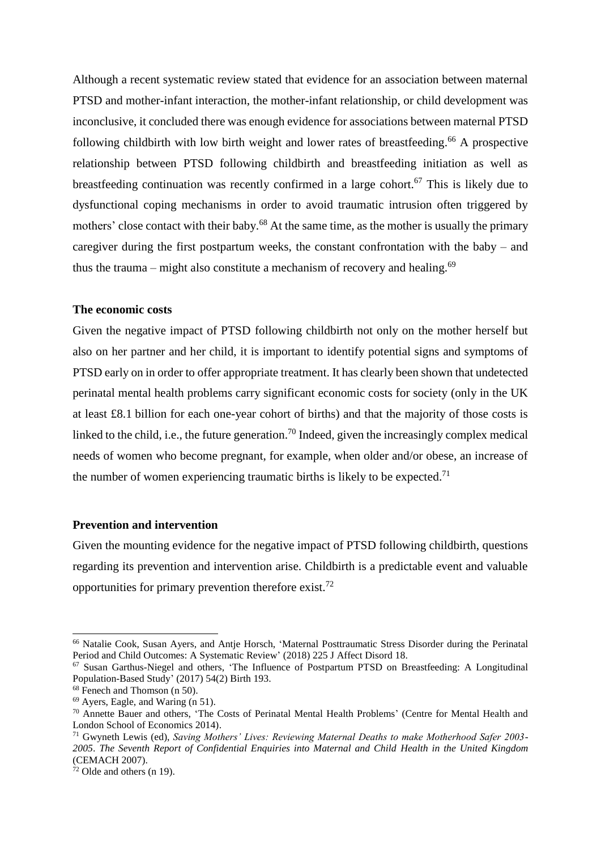Although a recent systematic review stated that evidence for an association between maternal PTSD and mother-infant interaction, the mother-infant relationship, or child development was inconclusive, it concluded there was enough evidence for associations between maternal PTSD following childbirth with low birth weight and lower rates of breastfeeding.<sup>66</sup> A prospective relationship between PTSD following childbirth and breastfeeding initiation as well as breastfeeding continuation was recently confirmed in a large cohort.<sup>67</sup> This is likely due to dysfunctional coping mechanisms in order to avoid traumatic intrusion often triggered by mothers' close contact with their baby.<sup>68</sup> At the same time, as the mother is usually the primary caregiver during the first postpartum weeks, the constant confrontation with the baby – and thus the trauma – might also constitute a mechanism of recovery and healing.<sup>69</sup>

#### **The economic costs**

Given the negative impact of PTSD following childbirth not only on the mother herself but also on her partner and her child, it is important to identify potential signs and symptoms of PTSD early on in order to offer appropriate treatment. It has clearly been shown that undetected perinatal mental health problems carry significant economic costs for society (only in the UK at least £8.1 billion for each one-year cohort of births) and that the majority of those costs is linked to the child, i.e., the future generation.<sup>70</sup> Indeed, given the increasingly complex medical needs of women who become pregnant, for example, when older and/or obese, an increase of the number of women experiencing traumatic births is likely to be expected.<sup>71</sup>

# **Prevention and intervention**

Given the mounting evidence for the negative impact of PTSD following childbirth, questions regarding its prevention and intervention arise. Childbirth is a predictable event and valuable opportunities for primary prevention therefore exist.<sup>72</sup>

<sup>66</sup> Natalie Cook, Susan Ayers, and Antje Horsch, 'Maternal Posttraumatic Stress Disorder during the Perinatal Period and Child Outcomes: A Systematic Review' (2018) 225 J Affect Disord 18.

<sup>67</sup> Susan Garthus-Niegel and others, 'The Influence of Postpartum PTSD on Breastfeeding: A Longitudinal Population-Based Study' (2017) 54(2) Birth 193.

<sup>&</sup>lt;sup>68</sup> Fenech and Thomson (n [50\)](#page-7-1).

<sup>69</sup> Ayers, Eagle, and Waring (n [51\)](#page-7-0).

<sup>&</sup>lt;sup>70</sup> Annette Bauer and others, 'The Costs of Perinatal Mental Health Problems' (Centre for Mental Health and London School of Economics 2014).

<sup>71</sup> Gwyneth Lewis (ed), *Saving Mothers' Lives: Reviewing Maternal Deaths to make Motherhood Safer 2003- 2005*. *The Seventh Report of Confidential Enquiries into Maternal and Child Health in the United Kingdom* (CEMACH 2007).

 $72$  Olde and others ([n 19\)](#page-2-1).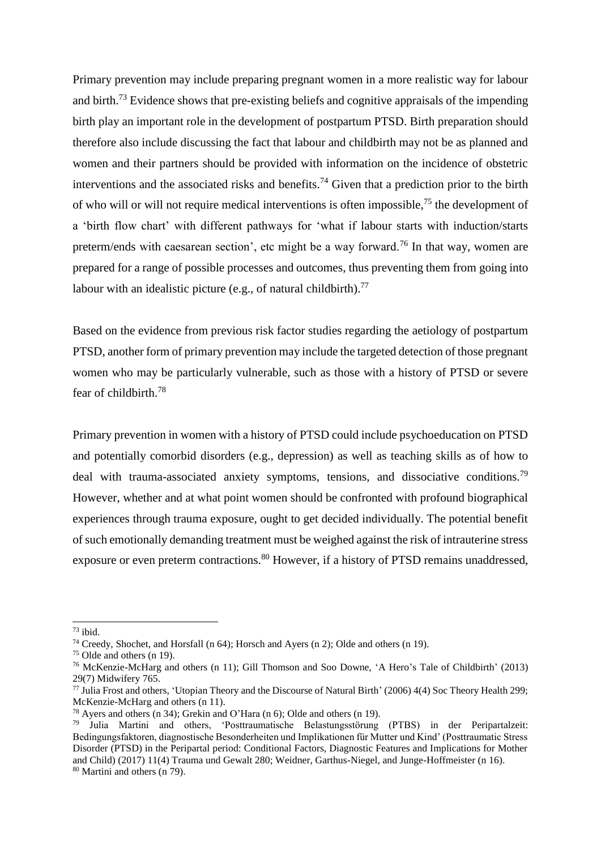Primary prevention may include preparing pregnant women in a more realistic way for labour and birth.<sup>73</sup> Evidence shows that pre-existing beliefs and cognitive appraisals of the impending birth play an important role in the development of postpartum PTSD. Birth preparation should therefore also include discussing the fact that labour and childbirth may not be as planned and women and their partners should be provided with information on the incidence of obstetric interventions and the associated risks and benefits.<sup>74</sup> Given that a prediction prior to the birth of who will or will not require medical interventions is often impossible,  $75$  the development of a 'birth flow chart' with different pathways for 'what if labour starts with induction/starts preterm/ends with caesarean section', etc might be a way forward.<sup>76</sup> In that way, women are prepared for a range of possible processes and outcomes, thus preventing them from going into labour with an idealistic picture (e.g., of natural childbirth).<sup>77</sup>

Based on the evidence from previous risk factor studies regarding the aetiology of postpartum PTSD, another form of primary prevention may include the targeted detection of those pregnant women who may be particularly vulnerable, such as those with a history of PTSD or severe fear of childbirth. 78

<span id="page-10-0"></span>Primary prevention in women with a history of PTSD could include psychoeducation on PTSD and potentially comorbid disorders (e.g., depression) as well as teaching skills as of how to deal with trauma-associated anxiety symptoms, tensions, and dissociative conditions.<sup>79</sup> However, whether and at what point women should be confronted with profound biographical experiences through trauma exposure, ought to get decided individually. The potential benefit of such emotionally demanding treatment must be weighed against the risk of intrauterine stress exposure or even preterm contractions.<sup>80</sup> However, if a history of PTSD remains unaddressed,

 $73$  ibid.

<sup>74</sup> Creedy, Shochet, and Horsfall (n [64\)](#page-8-0); Horsch and Ayers (n [2\)](#page-0-3); Olde and others (n [19\)](#page-2-1).

<sup>75</sup> Olde and others ([n 19\)](#page-2-1).

<sup>76</sup> McKenzie-McHarg and others (n [11\)](#page-1-1); Gill Thomson and Soo Downe, 'A Hero's Tale of Childbirth' (2013) 29(7) Midwifery 765.

<sup>77</sup> Julia Frost and others, 'Utopian Theory and the Discourse of Natural Birth' (2006) 4(4) Soc Theory Health 299; McKenzie-McHarg and others (n [11\)](#page-1-1).

<sup>78</sup> Ayers and others (n [34\)](#page-4-1); Grekin and O'Hara (n [6\)](#page-0-1); Olde and others (n [19\)](#page-2-1).

<sup>79</sup> Julia Martini and others, 'Posttraumatische Belastungsstörung (PTBS) in der Peripartalzeit: Bedingungsfaktoren, diagnostische Besonderheiten und Implikationen für Mutter und Kind' (Posttraumatic Stress Disorder (PTSD) in the Peripartal period: Conditional Factors, Diagnostic Features and Implications for Mother and Child) (2017) 11(4) Trauma und Gewalt 280; Weidner, Garthus-Niegel, and Junge-Hoffmeister (n [16\)](#page-2-0). <sup>80</sup> Martini and others (n [79\)](#page-10-0).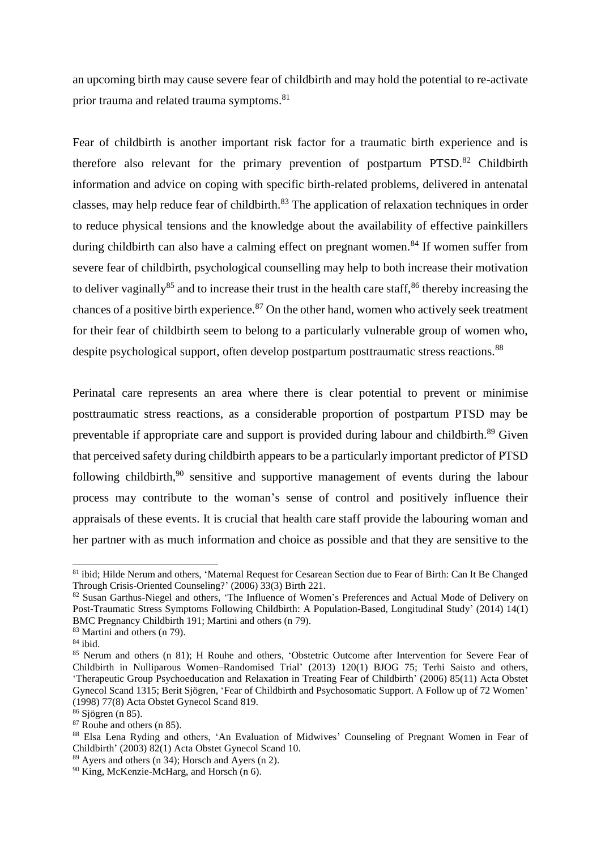<span id="page-11-0"></span>an upcoming birth may cause severe fear of childbirth and may hold the potential to re-activate prior trauma and related trauma symptoms.<sup>81</sup>

Fear of childbirth is another important risk factor for a traumatic birth experience and is therefore also relevant for the primary prevention of postpartum  $PTSD<sup>82</sup>$  Childbirth information and advice on coping with specific birth-related problems, delivered in antenatal classes, may help reduce fear of childbirth.<sup>83</sup> The application of relaxation techniques in order to reduce physical tensions and the knowledge about the availability of effective painkillers during childbirth can also have a calming effect on pregnant women.<sup>84</sup> If women suffer from severe fear of childbirth, psychological counselling may help to both increase their motivation to deliver vaginally<sup>85</sup> and to increase their trust in the health care staff,  $86$  thereby increasing the chances of a positive birth experience. $87$  On the other hand, women who actively seek treatment for their fear of childbirth seem to belong to a particularly vulnerable group of women who, despite psychological support, often develop postpartum posttraumatic stress reactions.<sup>88</sup>

<span id="page-11-1"></span>Perinatal care represents an area where there is clear potential to prevent or minimise posttraumatic stress reactions, as a considerable proportion of postpartum PTSD may be preventable if appropriate care and support is provided during labour and childbirth.<sup>89</sup> Given that perceived safety during childbirth appears to be a particularly important predictor of PTSD following childbirth,<sup>90</sup> sensitive and supportive management of events during the labour process may contribute to the woman's sense of control and positively influence their appraisals of these events. It is crucial that health care staff provide the labouring woman and her partner with as much information and choice as possible and that they are sensitive to the

<sup>81</sup> ibid; Hilde Nerum and others, 'Maternal Request for Cesarean Section due to Fear of Birth: Can It Be Changed Through Crisis-Oriented Counseling?' (2006) 33(3) Birth 221.

<sup>82</sup> Susan Garthus-Niegel and others, 'The Influence of Women's Preferences and Actual Mode of Delivery on Post-Traumatic Stress Symptoms Following Childbirth: A Population-Based, Longitudinal Study' (2014) 14(1) BMC Pregnancy Childbirth 191; Martini and others (n [79\)](#page-10-0).

<sup>83</sup> Martini and others (n [79\)](#page-10-0).

 $84$  ibid.

<sup>85</sup> Nerum and others (n [81\)](#page-11-0); H Rouhe and others, 'Obstetric Outcome after Intervention for Severe Fear of Childbirth in Nulliparous Women–Randomised Trial' (2013) 120(1) BJOG 75; Terhi Saisto and others, 'Therapeutic Group Psychoeducation and Relaxation in Treating Fear of Childbirth' (2006) 85(11) Acta Obstet Gynecol Scand 1315; Berit Sjögren, 'Fear of Childbirth and Psychosomatic Support. A Follow up of 72 Women' (1998) 77(8) Acta Obstet Gynecol Scand 819.

<sup>86</sup> Sjögren (n [85\)](#page-11-1).

<sup>87</sup> Rouhe and others (n [85\)](#page-11-1).

<sup>88</sup> Elsa Lena Ryding and others, 'An Evaluation of Midwives' Counseling of Pregnant Women in Fear of Childbirth' (2003) 82(1) Acta Obstet Gynecol Scand 10.

<sup>89</sup> Ayers and others (n [34\)](#page-4-1); Horsch and Ayers (n [2\)](#page-0-3).

<sup>90</sup> King, McKenzie-McHarg, and Horsch (n [6\)](#page-0-1).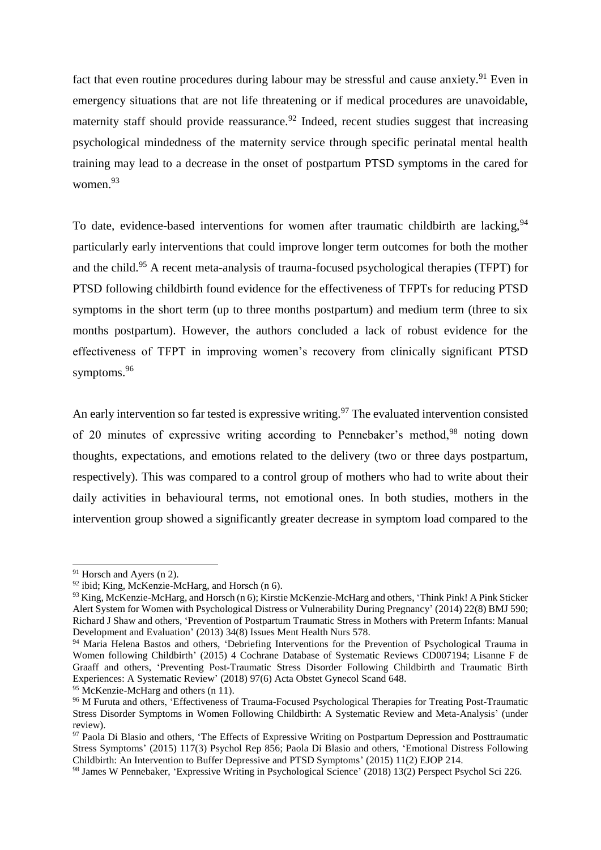fact that even routine procedures during labour may be stressful and cause anxiety.<sup>91</sup> Even in emergency situations that are not life threatening or if medical procedures are unavoidable, maternity staff should provide reassurance.<sup>92</sup> Indeed, recent studies suggest that increasing psychological mindedness of the maternity service through specific perinatal mental health training may lead to a decrease in the onset of postpartum PTSD symptoms in the cared for women.<sup>93</sup>

To date, evidence-based interventions for women after traumatic childbirth are lacking,  $94$ particularly early interventions that could improve longer term outcomes for both the mother and the child.<sup>95</sup> A recent meta-analysis of trauma-focused psychological therapies (TFPT) for PTSD following childbirth found evidence for the effectiveness of TFPTs for reducing PTSD symptoms in the short term (up to three months postpartum) and medium term (three to six months postpartum). However, the authors concluded a lack of robust evidence for the effectiveness of TFPT in improving women's recovery from clinically significant PTSD symptoms.<sup>96</sup>

<span id="page-12-0"></span>An early intervention so far tested is expressive writing.<sup>97</sup> The evaluated intervention consisted of 20 minutes of expressive writing according to Pennebaker's method,<sup>98</sup> noting down thoughts, expectations, and emotions related to the delivery (two or three days postpartum, respectively). This was compared to a control group of mothers who had to write about their daily activities in behavioural terms, not emotional ones. In both studies, mothers in the intervention group showed a significantly greater decrease in symptom load compared to the

<sup>91</sup> Horsch and Ayers (n [2\)](#page-0-3).

 $92$  ibid; King, McKenzie-McHarg, and Horsch (n [6\)](#page-0-1).

<sup>&</sup>lt;sup>93</sup> King, McKenzie-McHarg, and Horsch ([n 6\)](#page-0-1); Kirstie McKenzie-McHarg and others, 'Think Pink! A Pink Sticker Alert System for Women with Psychological Distress or Vulnerability During Pregnancy' (2014) 22(8) BMJ 590; Richard J Shaw and others, 'Prevention of Postpartum Traumatic Stress in Mothers with Preterm Infants: Manual Development and Evaluation' (2013) 34(8) Issues Ment Health Nurs 578.

<sup>94</sup> Maria Helena Bastos and others, 'Debriefing Interventions for the Prevention of Psychological Trauma in Women following Childbirth' (2015) 4 Cochrane Database of Systematic Reviews CD007194; Lisanne F de Graaff and others, 'Preventing Post‐Traumatic Stress Disorder Following Childbirth and Traumatic Birth Experiences: A Systematic Review' (2018) 97(6) Acta Obstet Gynecol Scand 648.

<sup>&</sup>lt;sup>95</sup> McKenzie-McHarg and others (n [11\)](#page-1-1).

<sup>96</sup> M Furuta and others, 'Effectiveness of Trauma-Focused Psychological Therapies for Treating Post-Traumatic Stress Disorder Symptoms in Women Following Childbirth: A Systematic Review and Meta-Analysis' (under review).

<sup>&</sup>lt;sup>97</sup> Paola Di Blasio and others, 'The Effects of Expressive Writing on Postpartum Depression and Posttraumatic Stress Symptoms' (2015) 117(3) Psychol Rep 856; Paola Di Blasio and others, 'Emotional Distress Following Childbirth: An Intervention to Buffer Depressive and PTSD Symptoms' (2015) 11(2) EJOP 214.

<sup>98</sup> James W Pennebaker, 'Expressive Writing in Psychological Science' (2018) 13(2) Perspect Psychol Sci 226.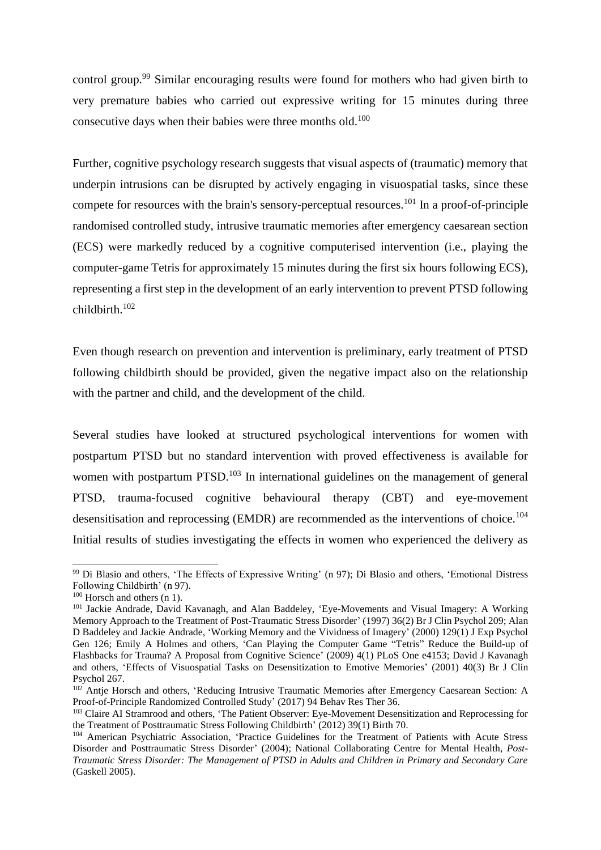control group.<sup>99</sup> Similar encouraging results were found for mothers who had given birth to very premature babies who carried out expressive writing for 15 minutes during three consecutive days when their babies were three months old.<sup>100</sup>

Further, cognitive psychology research suggests that visual aspects of (traumatic) memory that underpin intrusions can be disrupted by actively engaging in visuospatial tasks, since these compete for resources with the brain's sensory-perceptual resources.<sup>101</sup> In a proof-of-principle randomised controlled study, intrusive traumatic memories after emergency caesarean section (ECS) were markedly reduced by a cognitive computerised intervention (i.e., playing the computer-game Tetris for approximately 15 minutes during the first six hours following ECS), representing a first step in the development of an early intervention to prevent PTSD following childbirth.<sup>102</sup>

Even though research on prevention and intervention is preliminary, early treatment of PTSD following childbirth should be provided, given the negative impact also on the relationship with the partner and child, and the development of the child.

<span id="page-13-0"></span>Several studies have looked at structured psychological interventions for women with postpartum PTSD but no standard intervention with proved effectiveness is available for women with postpartum PTSD.<sup>103</sup> In international guidelines on the management of general PTSD, trauma-focused cognitive behavioural therapy (CBT) and eye-movement desensitisation and reprocessing (EMDR) are recommended as the interventions of choice.<sup>104</sup> Initial results of studies investigating the effects in women who experienced the delivery as

<sup>99</sup> Di Blasio and others, 'The Effects of Expressive Writing' (n [97\)](#page-12-0); Di Blasio and others, 'Emotional Distress Following Childbirth' (n [97\)](#page-12-0).

 $100$  Horsch and others (n [1\)](#page-0-0).

<sup>&</sup>lt;sup>101</sup> Jackie Andrade, David Kavanagh, and Alan Baddeley, 'Eye-Movements and Visual Imagery: A Working Memory Approach to the Treatment of Post-Traumatic Stress Disorder' (1997) 36(2) Br J Clin Psychol 209; Alan D Baddeley and Jackie Andrade, 'Working Memory and the Vividness of Imagery' (2000) 129(1) J Exp Psychol Gen 126; Emily A Holmes and others, 'Can Playing the Computer Game "Tetris" Reduce the Build-up of Flashbacks for Trauma? A Proposal from Cognitive Science' (2009) 4(1) PLoS One e4153; David J Kavanagh and others, 'Effects of Visuospatial Tasks on Desensitization to Emotive Memories' (2001) 40(3) Br J Clin Psychol 267.

<sup>&</sup>lt;sup>102</sup> Antje Horsch and others, 'Reducing Intrusive Traumatic Memories after Emergency Caesarean Section: A Proof-of-Principle Randomized Controlled Study' (2017) 94 Behav Res Ther 36.

<sup>&</sup>lt;sup>103</sup> Claire AI Stramrood and others, 'The Patient Observer: Eye-Movement Desensitization and Reprocessing for the Treatment of Posttraumatic Stress Following Childbirth' (2012) 39(1) Birth 70.

<sup>104</sup> American Psychiatric Association, 'Practice Guidelines for the Treatment of Patients with Acute Stress Disorder and Posttraumatic Stress Disorder' (2004); National Collaborating Centre for Mental Health, *Post-Traumatic Stress Disorder: The Management of PTSD in Adults and Children in Primary and Secondary Care* (Gaskell 2005).